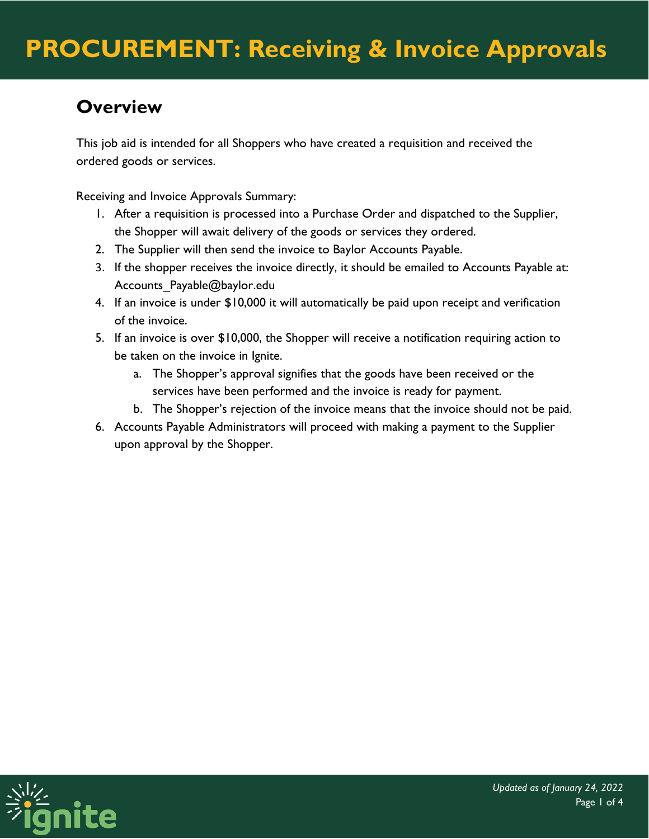## **Overview**

This job aid is intended for all Shoppers who have created a requisition and received the ordered goods or services.

Receiving and Invoice Approvals Summary:

- 1. After a requisition is processed into a Purchase Order and dispatched to the Supplier, the Shopper will await delivery of the goods or services they ordered.
- 2. The Supplier will then send the invoice to Baylor Accounts Payable.
- 3. If the shopper receives the invoice directly, it should be emailed to Accounts Payable at: Accounts Payable@baylor.edu
- 4. If an invoice is under \$10,000 it will automatically be paid upon receipt and verification of the invoice.
- 5. If an invoice is over \$10,000, the Shopper will receive a notification requiring action to be taken on the invoice in Ignite.
	- a. The Shopper's approval signifies that the goods have been received or the services have been performed and the invoice is ready for payment.
	- b. The Shopper's rejection of the invoice means that the invoice should not be paid.
- 6. Accounts Payable Administrators will proceed with making a payment to the Supplier upon approval by the Shopper.

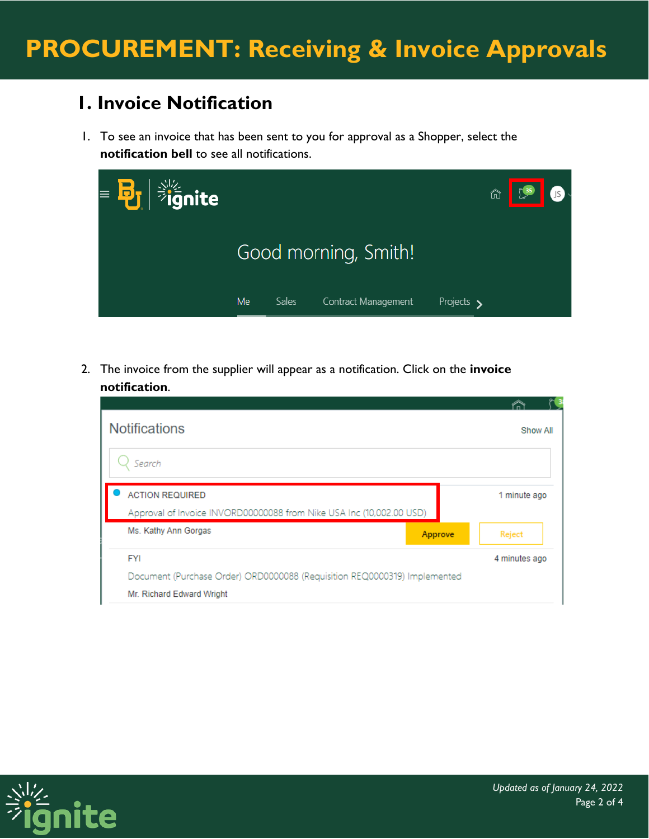## **1. Invoice Notification**

1. To see an invoice that has been sent to you for approval as a Shopper, select the **notification bell** to see all notifications.

| $\mathbf{F} = \mathbf{F} \mathbf{F} \mathbf{F}$ |           |              |                      |            | ⋔ | <b>IDENTIFY</b> |  |
|-------------------------------------------------|-----------|--------------|----------------------|------------|---|-----------------|--|
|                                                 |           |              | Good morning, Smith! |            |   |                 |  |
|                                                 | <b>Me</b> | <b>Sales</b> | Contract Management  | Projects > |   |                 |  |

2. The invoice from the supplier will appear as a notification. Click on the **invoice notification**.

| <b>Notifications</b>                                                      | Show All      |
|---------------------------------------------------------------------------|---------------|
| Search                                                                    |               |
| <b>ACTION REQUIRED</b>                                                    | 1 minute ago  |
| Approval of Invoice INVORD00000088 from Nike USA Inc (10,002.00 USD)      |               |
| Ms. Kathy Ann Gorgas<br>Approve                                           | Reject        |
| <b>FYI</b>                                                                | 4 minutes ago |
| Document (Purchase Order) ORD0000088 (Requisition REQ0000319) Implemented |               |
| Mr. Richard Edward Wright                                                 |               |

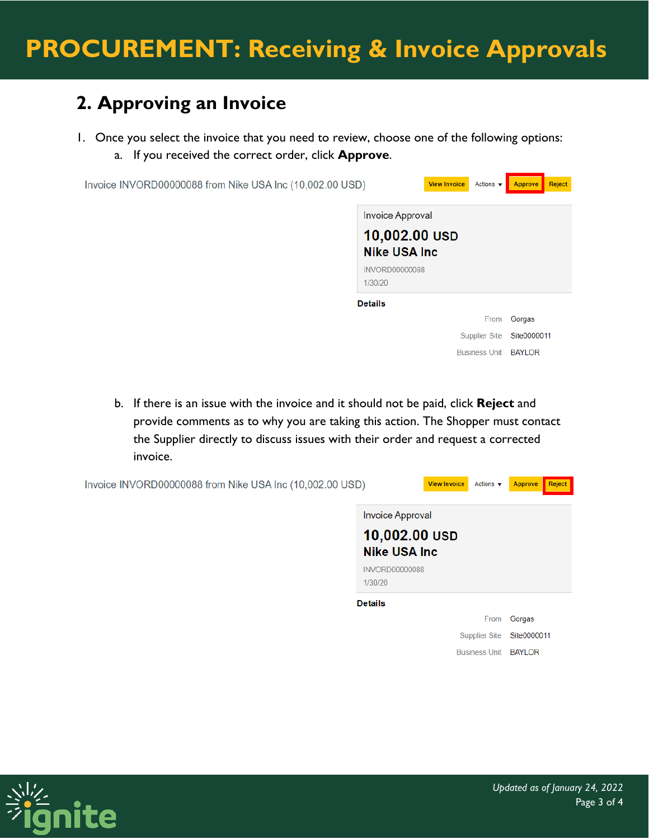## **2. Approving an Invoice**

- 1. Once you select the invoice that you need to review, choose one of the following options:
	- a. If you received the correct order, click **Approve**.

| Invoice INVORD00000088 from Nike USA Inc (10,002.00 USD) |                                                                                                      | <b>View Invoice</b><br>Actions $\blacktriangledown$ | Approve     | Reject |
|----------------------------------------------------------|------------------------------------------------------------------------------------------------------|-----------------------------------------------------|-------------|--------|
|                                                          | <b>Invoice Approval</b><br>10,002.00 USD<br><b>Nike USA Inc.</b><br><b>INVORD00000088</b><br>1/30/20 |                                                     |             |        |
|                                                          | <b>Details</b>                                                                                       |                                                     |             |        |
|                                                          |                                                                                                      | From                                                | Gorgas      |        |
|                                                          |                                                                                                      | <b>Supplier Site</b>                                | Site0000011 |        |
|                                                          |                                                                                                      | Business Unit BAYLOR                                |             |        |

b. If there is an issue with the invoice and it should not be paid, click **Reject** and provide comments as to why you are taking this action. The Shopper must contact the Supplier directly to discuss issues with their order and request a corrected invoice.

| Invoice INVORD00000088 from Nike USA Inc (10,002.00 USD) |                                                           | <b>View Invoice</b><br>Actions $\blacktriangledown$ | Reject<br>Approve |
|----------------------------------------------------------|-----------------------------------------------------------|-----------------------------------------------------|-------------------|
|                                                          | Invoice Approval<br>10,002.00 USD<br><b>Nike USA Inc.</b> |                                                     |                   |
|                                                          | <b>INVORD00000088</b><br>1/30/20                          |                                                     |                   |
|                                                          | <b>Details</b>                                            |                                                     |                   |
|                                                          |                                                           | From                                                | Gorgas            |
|                                                          |                                                           | <b>Supplier Site</b>                                | Site0000011       |
|                                                          |                                                           | <b>Business Unit</b>                                | <b>BAYLOR</b>     |